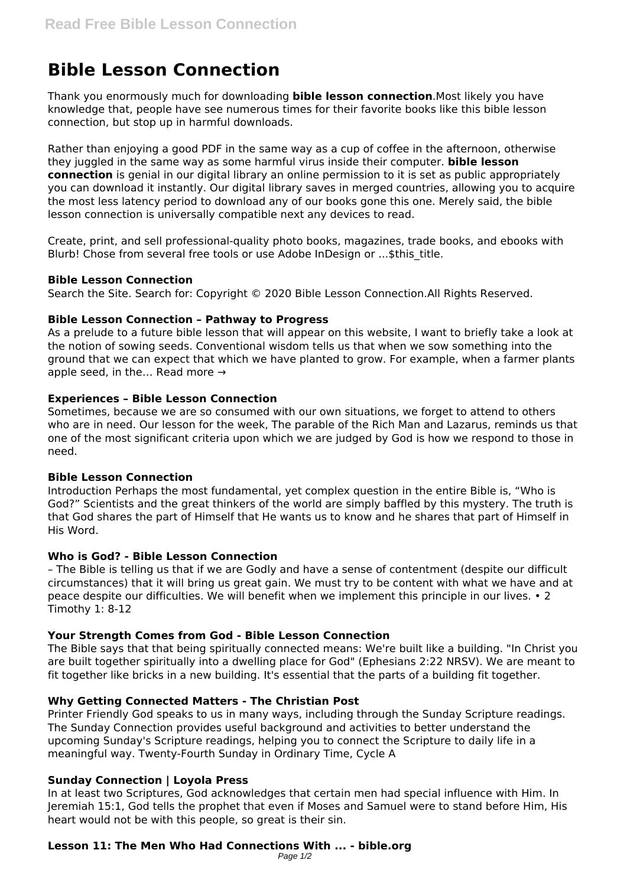# **Bible Lesson Connection**

Thank you enormously much for downloading **bible lesson connection**.Most likely you have knowledge that, people have see numerous times for their favorite books like this bible lesson connection, but stop up in harmful downloads.

Rather than enjoying a good PDF in the same way as a cup of coffee in the afternoon, otherwise they juggled in the same way as some harmful virus inside their computer. **bible lesson connection** is genial in our digital library an online permission to it is set as public appropriately you can download it instantly. Our digital library saves in merged countries, allowing you to acquire the most less latency period to download any of our books gone this one. Merely said, the bible lesson connection is universally compatible next any devices to read.

Create, print, and sell professional-quality photo books, magazines, trade books, and ebooks with Blurb! Chose from several free tools or use Adobe InDesign or ... \$this title.

## **Bible Lesson Connection**

Search the Site. Search for: Copyright © 2020 Bible Lesson Connection.All Rights Reserved.

## **Bible Lesson Connection – Pathway to Progress**

As a prelude to a future bible lesson that will appear on this website, I want to briefly take a look at the notion of sowing seeds. Conventional wisdom tells us that when we sow something into the ground that we can expect that which we have planted to grow. For example, when a farmer plants apple seed, in the... Read more  $\rightarrow$ 

## **Experiences – Bible Lesson Connection**

Sometimes, because we are so consumed with our own situations, we forget to attend to others who are in need. Our lesson for the week, The parable of the Rich Man and Lazarus, reminds us that one of the most significant criteria upon which we are judged by God is how we respond to those in need.

### **Bible Lesson Connection**

Introduction Perhaps the most fundamental, yet complex question in the entire Bible is, "Who is God?" Scientists and the great thinkers of the world are simply baffled by this mystery. The truth is that God shares the part of Himself that He wants us to know and he shares that part of Himself in His Word.

## **Who is God? - Bible Lesson Connection**

– The Bible is telling us that if we are Godly and have a sense of contentment (despite our difficult circumstances) that it will bring us great gain. We must try to be content with what we have and at peace despite our difficulties. We will benefit when we implement this principle in our lives. • 2 Timothy 1: 8-12

# **Your Strength Comes from God - Bible Lesson Connection**

The Bible says that that being spiritually connected means: We're built like a building. "In Christ you are built together spiritually into a dwelling place for God" (Ephesians 2:22 NRSV). We are meant to fit together like bricks in a new building. It's essential that the parts of a building fit together.

### **Why Getting Connected Matters - The Christian Post**

Printer Friendly God speaks to us in many ways, including through the Sunday Scripture readings. The Sunday Connection provides useful background and activities to better understand the upcoming Sunday's Scripture readings, helping you to connect the Scripture to daily life in a meaningful way. Twenty-Fourth Sunday in Ordinary Time, Cycle A

# **Sunday Connection | Loyola Press**

In at least two Scriptures, God acknowledges that certain men had special influence with Him. In Jeremiah 15:1, God tells the prophet that even if Moses and Samuel were to stand before Him, His heart would not be with this people, so great is their sin.

#### **Lesson 11: The Men Who Had Connections With ... - bible.org** Page 1/2